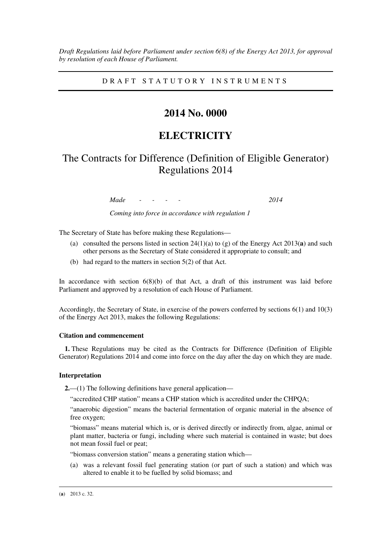*Draft Regulations laid before Parliament under section 6(8) of the Energy Act 2013, for approval by resolution of each House of Parliament.* 

D R A F T S T A T U T O R Y I N S T R U M E N T S

### **2014 No. 0000**

## **ELECTRICITY**

# The Contracts for Difference (Definition of Eligible Generator) Regulations 2014

*Made - - - - 2014* 

*Coming into force in accordance with regulation 1* 

The Secretary of State has before making these Regulations—

- (a) consulted the persons listed in section 24(1)(a) to (g) of the Energy Act 2013(**a**) and such other persons as the Secretary of State considered it appropriate to consult; and
- (b) had regard to the matters in section 5(2) of that Act.

In accordance with section 6(8)(b) of that Act, a draft of this instrument was laid before Parliament and approved by a resolution of each House of Parliament.

Accordingly, the Secretary of State, in exercise of the powers conferred by sections 6(1) and 10(3) of the Energy Act 2013, makes the following Regulations:

#### **Citation and commencement**

**1.** These Regulations may be cited as the Contracts for Difference (Definition of Eligible Generator) Regulations 2014 and come into force on the day after the day on which they are made.

#### **Interpretation**

**2.**—(1) The following definitions have general application—

"accredited CHP station" means a CHP station which is accredited under the CHPQA;

"anaerobic digestion" means the bacterial fermentation of organic material in the absence of free oxygen;

"biomass" means material which is, or is derived directly or indirectly from, algae, animal or plant matter, bacteria or fungi, including where such material is contained in waste; but does not mean fossil fuel or peat;

"biomass conversion station" means a generating station which—

(a) was a relevant fossil fuel generating station (or part of such a station) and which was altered to enable it to be fuelled by solid biomass; and

<u>.</u>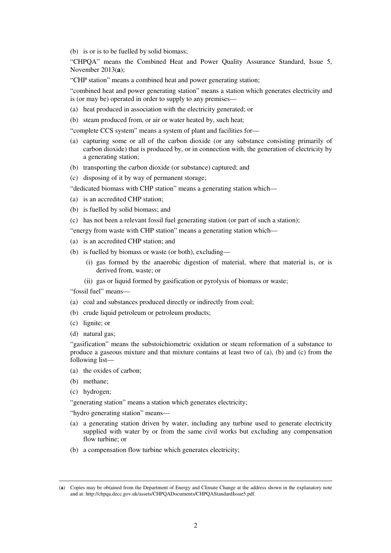(b) is or is to be fuelled by solid biomass;

"CHPQA" means the Combined Heat and Power Quality Assurance Standard, Issue 5, November 2013(**a**);

"CHP station" means a combined heat and power generating station;

"combined heat and power generating station" means a station which generates electricity and is (or may be) operated in order to supply to any premises—

- (a) heat produced in association with the electricity generated; or
- (b) steam produced from, or air or water heated by, such heat;

"complete CCS system" means a system of plant and facilities for—

- (a) capturing some or all of the carbon dioxide (or any substance consisting primarily of carbon dioxide) that is produced by, or in connection with, the generation of electricity by a generating station;
- (b) transporting the carbon dioxide (or substance) captured; and
- (c) disposing of it by way of permanent storage;

"dedicated biomass with CHP station" means a generating station which—

- (a) is an accredited CHP station;
- (b) is fuelled by solid biomass; and
- (c) has not been a relevant fossil fuel generating station (or part of such a station);

"energy from waste with CHP station" means a generating station which—

- (a) is an accredited CHP station; and
- (b) is fuelled by biomass or waste (or both), excluding—
	- (i) gas formed by the anaerobic digestion of material, where that material is, or is derived from, waste; or
	- (ii) gas or liquid formed by gasification or pyrolysis of biomass or waste;

"fossil fuel" means—

- (a) coal and substances produced directly or indirectly from coal;
- (b) crude liquid petroleum or petroleum products;
- (c) lignite; or
- (d) natural gas;

"gasification" means the substoichiometric oxidation or steam reformation of a substance to produce a gaseous mixture and that mixture contains at least two of (a), (b) and (c) from the following list—

- (a) the oxides of carbon;
- (b) methane;

<u>.</u>

(c) hydrogen;

"generating station" means a station which generates electricity;

"hydro generating station" means—

- (a) a generating station driven by water, including any turbine used to generate electricity supplied with water by or from the same civil works but excluding any compensation flow turbine; or
- (b) a compensation flow turbine which generates electricity;

<sup>(</sup>**a**) Copies may be obtained from the Department of Energy and Climate Change at the address shown in the explanatory note and at: http://chpqa.decc.gov.uk/assets/CHPQADocuments/CHPQAStandardIssue5.pdf.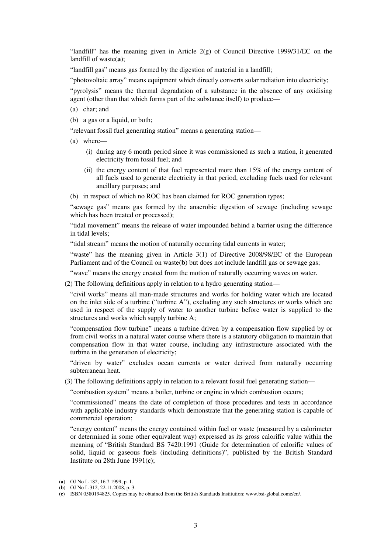"landfill" has the meaning given in Article 2(g) of Council Directive 1999/31/EC on the landfill of waste(**a**);

"landfill gas" means gas formed by the digestion of material in a landfill;

"photovoltaic array" means equipment which directly converts solar radiation into electricity;

"pyrolysis" means the thermal degradation of a substance in the absence of any oxidising agent (other than that which forms part of the substance itself) to produce—

- (a) char; and
- (b) a gas or a liquid, or both;

"relevant fossil fuel generating station" means a generating station—

- (a) where—
	- (i) during any 6 month period since it was commissioned as such a station, it generated electricity from fossil fuel; and
	- (ii) the energy content of that fuel represented more than 15% of the energy content of all fuels used to generate electricity in that period, excluding fuels used for relevant ancillary purposes; and
- (b) in respect of which no ROC has been claimed for ROC generation types;

"sewage gas" means gas formed by the anaerobic digestion of sewage (including sewage which has been treated or processed);

"tidal movement" means the release of water impounded behind a barrier using the difference in tidal levels;

"tidal stream" means the motion of naturally occurring tidal currents in water;

"waste" has the meaning given in Article 3(1) of Directive 2008/98/EC of the European Parliament and of the Council on waste(**b**) but does not include landfill gas or sewage gas;

"wave" means the energy created from the motion of naturally occurring waves on water.

(2) The following definitions apply in relation to a hydro generating station—

"civil works" means all man-made structures and works for holding water which are located on the inlet side of a turbine ("turbine A"), excluding any such structures or works which are used in respect of the supply of water to another turbine before water is supplied to the structures and works which supply turbine A;

"compensation flow turbine" means a turbine driven by a compensation flow supplied by or from civil works in a natural water course where there is a statutory obligation to maintain that compensation flow in that water course, including any infrastructure associated with the turbine in the generation of electricity;

"driven by water" excludes ocean currents or water derived from naturally occurring subterranean heat.

(3) The following definitions apply in relation to a relevant fossil fuel generating station—

"combustion system" means a boiler, turbine or engine in which combustion occurs;

"commissioned" means the date of completion of those procedures and tests in accordance with applicable industry standards which demonstrate that the generating station is capable of commercial operation;

"energy content" means the energy contained within fuel or waste (measured by a calorimeter or determined in some other equivalent way) expressed as its gross calorific value within the meaning of "British Standard BS 7420:1991 (Guide for determination of calorific values of solid, liquid or gaseous fuels (including definitions)", published by the British Standard Institute on 28th June 1991(**c**);

<u>.</u>

<sup>(</sup>**a**) OJ No L 182, 16.7.1999, p. 1.

<sup>(</sup>**b**) OJ No L 312, 22.11.2008, p. 3.

<sup>(</sup>**c**) ISBN 0580194825. Copies may be obtained from the British Standards Institution: www.bsi-global.come/en/.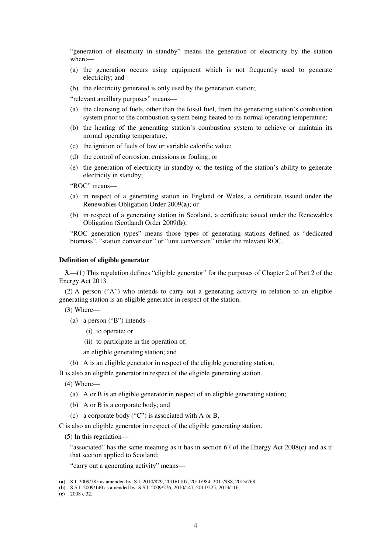"generation of electricity in standby" means the generation of electricity by the station where—

- (a) the generation occurs using equipment which is not frequently used to generate electricity; and
- (b) the electricity generated is only used by the generation station;

"relevant ancillary purposes" means—

- (a) the cleansing of fuels, other than the fossil fuel, from the generating station's combustion system prior to the combustion system being heated to its normal operating temperature;
- (b) the heating of the generating station's combustion system to achieve or maintain its normal operating temperature;
- (c) the ignition of fuels of low or variable calorific value;
- (d) the control of corrosion, emissions or fouling; or
- (e) the generation of electricity in standby or the testing of the station's ability to generate electricity in standby;

"ROC" means—

- (a) in respect of a generating station in England or Wales, a certificate issued under the Renewables Obligation Order 2009(**a**); or
- (b) in respect of a generating station in Scotland, a certificate issued under the Renewables Obligation (Scotland) Order 2009(**b**);

"ROC generation types" means those types of generating stations defined as "dedicated biomass", "station conversion" or "unit conversion" under the relevant ROC.

#### **Definition of eligible generator**

**3.**—(1) This regulation defines "eligible generator" for the purposes of Chapter 2 of Part 2 of the Energy Act 2013.

(2) A person ( $A''$ ) who intends to carry out a generating activity in relation to an eligible generating station is an eligible generator in respect of the station.

(3) Where—

- (a) a person ("B") intends—
	- (i) to operate; or
	- (ii) to participate in the operation of,

an eligible generating station; and

(b) A is an eligible generator in respect of the eligible generating station,

B is also an eligible generator in respect of the eligible generating station.

(4) Where—

- (a) A or B is an eligible generator in respect of an eligible generating station;
- (b) A or B is a corporate body; and
- (c) a corporate body ("C") is associated with A or B,

C is also an eligible generator in respect of the eligible generating station.

(5) In this regulation—

"associated" has the same meaning as it has in section 67 of the Energy Act 2008(**c**) and as if that section applied to Scotland;

"carry out a generating activity" means—

<u>.</u>

<sup>(</sup>**a**) S.I. 2009/785 as amended by: S.I. 2010/829, 2010/1107, 2011/984, 2011/988, 2013/768.

<sup>(</sup>**b**) S.S.I. 2009/140 as amended by: S.S.I. 2009/276, 2010/147, 2011/225, 2013/116.

<sup>(</sup>**c**) 2008 c.32.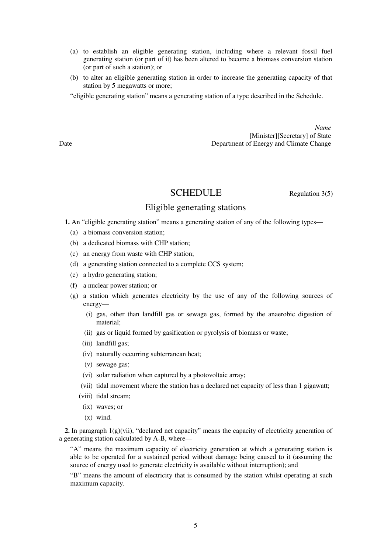- (a) to establish an eligible generating station, including where a relevant fossil fuel generating station (or part of it) has been altered to become a biomass conversion station (or part of such a station); or
- (b) to alter an eligible generating station in order to increase the generating capacity of that station by 5 megawatts or more;

"eligible generating station" means a generating station of a type described in the Schedule.

*Name* [Minister][Secretary] of State Date Department of Energy and Climate Change

SCHEDULE Regulation 3(5)

### Eligible generating stations

**1.** An "eligible generating station" means a generating station of any of the following types—

- (a) a biomass conversion station;
- (b) a dedicated biomass with CHP station;
- (c) an energy from waste with CHP station;
- (d) a generating station connected to a complete CCS system;
- (e) a hydro generating station;
- (f) a nuclear power station; or
- (g) a station which generates electricity by the use of any of the following sources of energy—
	- (i) gas, other than landfill gas or sewage gas, formed by the anaerobic digestion of material;
	- (ii) gas or liquid formed by gasification or pyrolysis of biomass or waste;
	- (iii) landfill gas;
	- (iv) naturally occurring subterranean heat;
	- (v) sewage gas;
	- (vi) solar radiation when captured by a photovoltaic array;
	- (vii) tidal movement where the station has a declared net capacity of less than 1 gigawatt;
	- (viii) tidal stream;
		- (ix) waves; or
		- (x) wind.

**2.** In paragraph 1(g)(vii), "declared net capacity" means the capacity of electricity generation of a generating station calculated by A-B, where—

"A" means the maximum capacity of electricity generation at which a generating station is able to be operated for a sustained period without damage being caused to it (assuming the source of energy used to generate electricity is available without interruption); and

"B" means the amount of electricity that is consumed by the station whilst operating at such maximum capacity.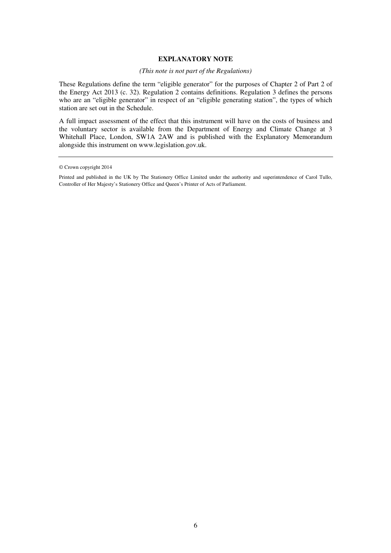### **EXPLANATORY NOTE**

#### *(This note is not part of the Regulations)*

These Regulations define the term "eligible generator" for the purposes of Chapter 2 of Part 2 of the Energy Act 2013 (c. 32). Regulation 2 contains definitions. Regulation 3 defines the persons who are an "eligible generator" in respect of an "eligible generating station", the types of which station are set out in the Schedule.

A full impact assessment of the effect that this instrument will have on the costs of business and the voluntary sector is available from the Department of Energy and Climate Change at 3 Whitehall Place, London, SW1A 2AW and is published with the Explanatory Memorandum alongside this instrument on www.legislation.gov.uk.

<sup>©</sup> Crown copyright 2014

Printed and published in the UK by The Stationery Office Limited under the authority and superintendence of Carol Tullo, Controller of Her Majesty's Stationery Office and Queen's Printer of Acts of Parliament.